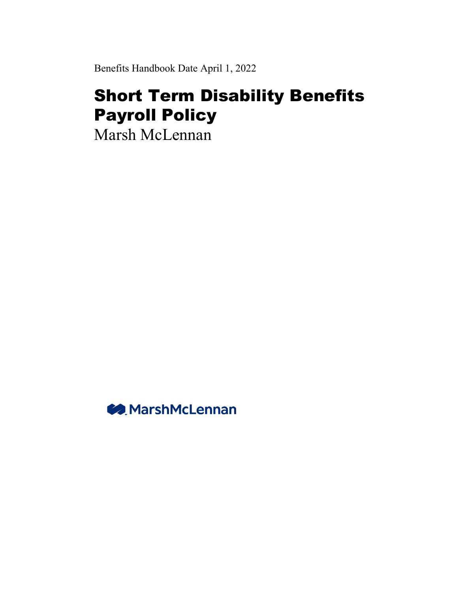Benefits Handbook Date April 1, 2022

# Short Term Disability Benefits Payroll Policy

Marsh McLennan

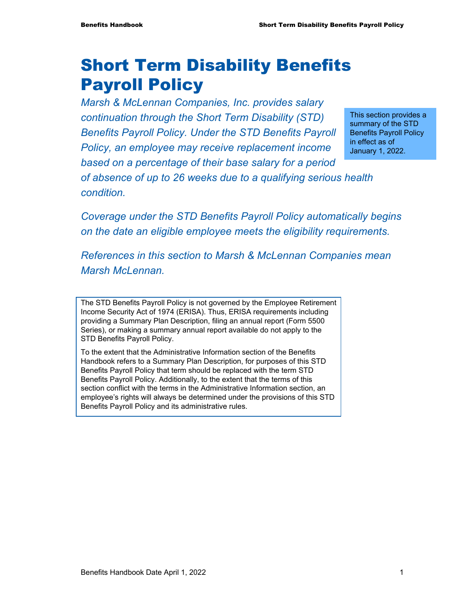*condition.* 

# Short Term Disability Benefits Payroll Policy

*Marsh & McLennan Companies, Inc. provides salary continuation through the Short Term Disability (STD) Benefits Payroll Policy. Under the STD Benefits Payroll Policy, an employee may receive replacement income based on a percentage of their base salary for a period of absence of up to 26 weeks due to a qualifying serious health* 

This section provides a summary of the STD Benefits Payroll Policy in effect as of January 1, 2022.

*Coverage under the STD Benefits Payroll Policy automatically begins on the date an eligible employee meets the eligibility requirements.* 

*References in this section to Marsh & McLennan Companies mean Marsh McLennan.* 

The STD Benefits Payroll Policy is not governed by the Employee Retirement Income Security Act of 1974 (ERISA). Thus, ERISA requirements including providing a Summary Plan Description, filing an annual report (Form 5500 Series), or making a summary annual report available do not apply to the STD Benefits Payroll Policy.

To the extent that the Administrative Information section of the Benefits Handbook refers to a Summary Plan Description, for purposes of this STD Benefits Payroll Policy that term should be replaced with the term STD Benefits Payroll Policy. Additionally, to the extent that the terms of this section conflict with the terms in the Administrative Information section, an employee's rights will always be determined under the provisions of this STD Benefits Payroll Policy and its administrative rules.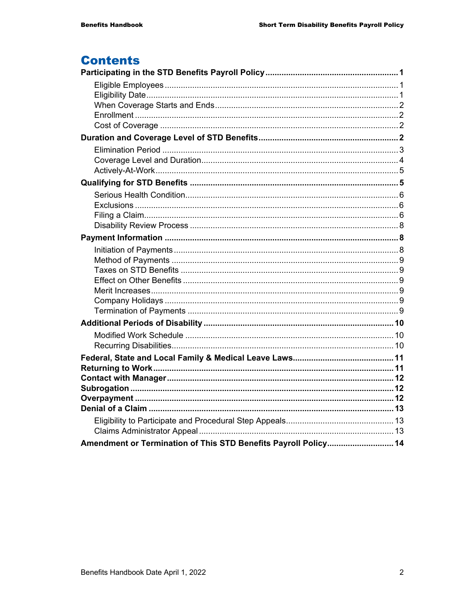### **Contents**

| Amendment or Termination of This STD Benefits Payroll Policy 14 |  |
|-----------------------------------------------------------------|--|
|                                                                 |  |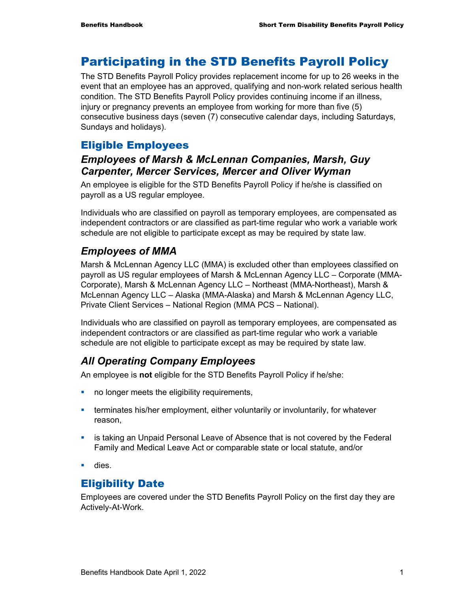### Participating in the STD Benefits Payroll Policy

The STD Benefits Payroll Policy provides replacement income for up to 26 weeks in the event that an employee has an approved, qualifying and non-work related serious health condition. The STD Benefits Payroll Policy provides continuing income if an illness, injury or pregnancy prevents an employee from working for more than five (5) consecutive business days (seven (7) consecutive calendar days, including Saturdays, Sundays and holidays).

### Eligible Employees

### *Employees of Marsh & McLennan Companies, Marsh, Guy Carpenter, Mercer Services, Mercer and Oliver Wyman*

An employee is eligible for the STD Benefits Payroll Policy if he/she is classified on payroll as a US regular employee.

Individuals who are classified on payroll as temporary employees, are compensated as independent contractors or are classified as part-time regular who work a variable work schedule are not eligible to participate except as may be required by state law.

### *Employees of MMA*

Marsh & McLennan Agency LLC (MMA) is excluded other than employees classified on payroll as US regular employees of Marsh & McLennan Agency LLC – Corporate (MMA-Corporate), Marsh & McLennan Agency LLC – Northeast (MMA-Northeast), Marsh & McLennan Agency LLC – Alaska (MMA-Alaska) and Marsh & McLennan Agency LLC, Private Client Services – National Region (MMA PCS – National).

Individuals who are classified on payroll as temporary employees, are compensated as independent contractors or are classified as part-time regular who work a variable schedule are not eligible to participate except as may be required by state law.

### *All Operating Company Employees*

An employee is **not** eligible for the STD Benefits Payroll Policy if he/she:

- no longer meets the eligibility requirements,
- **EXECT** terminates his/her employment, either voluntarily or involuntarily, for whatever reason,
- **Example 2** is taking an Unpaid Personal Leave of Absence that is not covered by the Federal Family and Medical Leave Act or comparable state or local statute, and/or
- **dies.**

### Eligibility Date

Employees are covered under the STD Benefits Payroll Policy on the first day they are Actively-At-Work.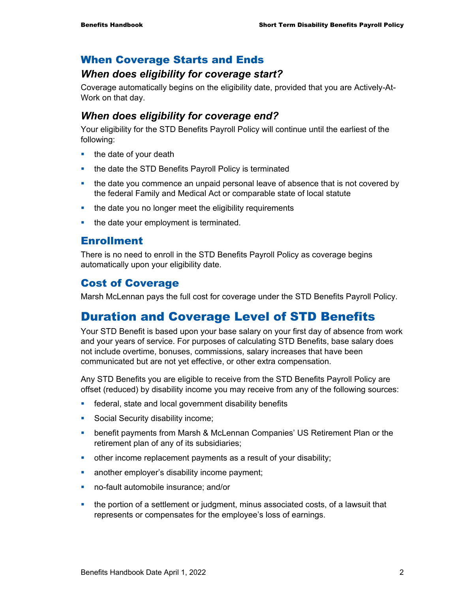### When Coverage Starts and Ends

### *When does eligibility for coverage start?*

Coverage automatically begins on the eligibility date, provided that you are Actively-At-Work on that day.

### *When does eligibility for coverage end?*

Your eligibility for the STD Benefits Payroll Policy will continue until the earliest of the following:

- $\blacksquare$  the date of your death
- the date the STD Benefits Payroll Policy is terminated
- **the date you commence an unpaid personal leave of absence that is not covered by** the federal Family and Medical Act or comparable state of local statute
- the date you no longer meet the eligibility requirements
- the date your employment is terminated.

### Enrollment

There is no need to enroll in the STD Benefits Payroll Policy as coverage begins automatically upon your eligibility date.

### Cost of Coverage

Marsh McLennan pays the full cost for coverage under the STD Benefits Payroll Policy.

## Duration and Coverage Level of STD Benefits

Your STD Benefit is based upon your base salary on your first day of absence from work and your years of service. For purposes of calculating STD Benefits, base salary does not include overtime, bonuses, commissions, salary increases that have been communicated but are not yet effective, or other extra compensation.

Any STD Benefits you are eligible to receive from the STD Benefits Payroll Policy are offset (reduced) by disability income you may receive from any of the following sources:

- **Figure 1** federal, state and local government disability benefits
- **Social Security disability income;**
- benefit payments from Marsh & McLennan Companies' US Retirement Plan or the retirement plan of any of its subsidiaries;
- other income replacement payments as a result of your disability;
- **another employer's disability income payment;**
- no-fault automobile insurance; and/or
- the portion of a settlement or judgment, minus associated costs, of a lawsuit that represents or compensates for the employee's loss of earnings.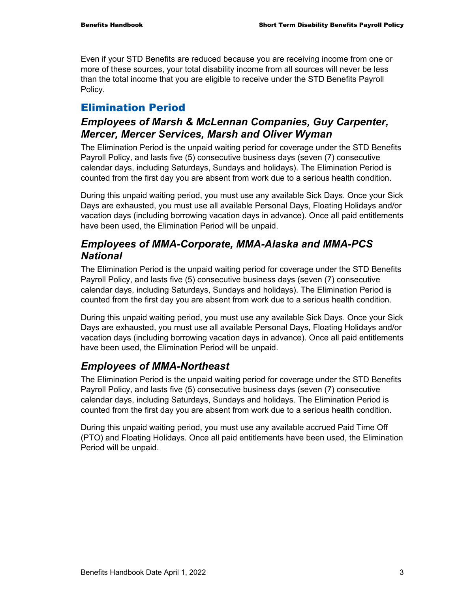Even if your STD Benefits are reduced because you are receiving income from one or more of these sources, your total disability income from all sources will never be less than the total income that you are eligible to receive under the STD Benefits Payroll Policy.

### Elimination Period

### *Employees of Marsh & McLennan Companies, Guy Carpenter, Mercer, Mercer Services, Marsh and Oliver Wyman*

The Elimination Period is the unpaid waiting period for coverage under the STD Benefits Payroll Policy, and lasts five (5) consecutive business days (seven (7) consecutive calendar days, including Saturdays, Sundays and holidays). The Elimination Period is counted from the first day you are absent from work due to a serious health condition.

During this unpaid waiting period, you must use any available Sick Days. Once your Sick Days are exhausted, you must use all available Personal Days, Floating Holidays and/or vacation days (including borrowing vacation days in advance). Once all paid entitlements have been used, the Elimination Period will be unpaid.

### *Employees of MMA-Corporate, MMA-Alaska and MMA-PCS National*

The Elimination Period is the unpaid waiting period for coverage under the STD Benefits Payroll Policy, and lasts five (5) consecutive business days (seven (7) consecutive calendar days, including Saturdays, Sundays and holidays). The Elimination Period is counted from the first day you are absent from work due to a serious health condition.

During this unpaid waiting period, you must use any available Sick Days. Once your Sick Days are exhausted, you must use all available Personal Days, Floating Holidays and/or vacation days (including borrowing vacation days in advance). Once all paid entitlements have been used, the Elimination Period will be unpaid.

### *Employees of MMA-Northeast*

The Elimination Period is the unpaid waiting period for coverage under the STD Benefits Payroll Policy, and lasts five (5) consecutive business days (seven (7) consecutive calendar days, including Saturdays, Sundays and holidays. The Elimination Period is counted from the first day you are absent from work due to a serious health condition.

During this unpaid waiting period, you must use any available accrued Paid Time Off (PTO) and Floating Holidays. Once all paid entitlements have been used, the Elimination Period will be unpaid.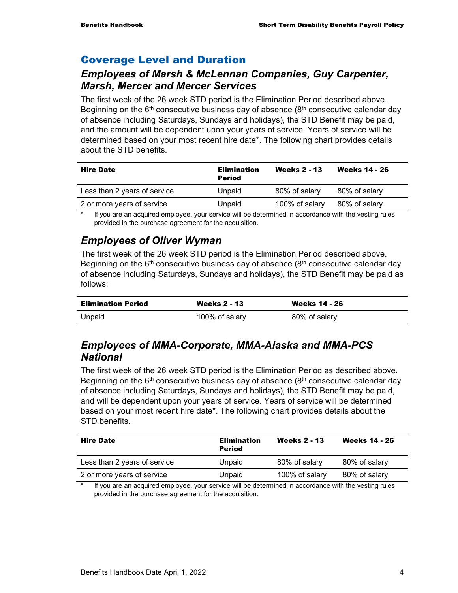### Coverage Level and Duration

### *Employees of Marsh & McLennan Companies, Guy Carpenter, Marsh, Mercer and Mercer Services*

The first week of the 26 week STD period is the Elimination Period described above. Beginning on the  $6<sup>th</sup>$  consecutive business day of absence ( $8<sup>th</sup>$  consecutive calendar day of absence including Saturdays, Sundays and holidays), the STD Benefit may be paid, and the amount will be dependent upon your years of service. Years of service will be determined based on your most recent hire date\*. The following chart provides details about the STD benefits.

| <b>Hire Date</b>             | <b>Elimination</b><br><b>Period</b> | <b>Weeks 2 - 13</b> | <b>Weeks 14 - 26</b> |
|------------------------------|-------------------------------------|---------------------|----------------------|
| Less than 2 years of service | Unpaid                              | 80% of salary       | 80% of salary        |
| 2 or more years of service   | Unpaid                              | 100% of salary      | 80% of salary        |
|                              |                                     |                     |                      |

If you are an acquired employee, your service will be determined in accordance with the vesting rules provided in the purchase agreement for the acquisition.

### *Employees of Oliver Wyman*

The first week of the 26 week STD period is the Elimination Period described above. Beginning on the  $6<sup>th</sup>$  consecutive business day of absence ( $8<sup>th</sup>$  consecutive calendar day of absence including Saturdays, Sundays and holidays), the STD Benefit may be paid as follows:

| <b>Elimination Period</b> | <b>Weeks 2 - 13</b> | <b>Weeks 14 - 26</b> |
|---------------------------|---------------------|----------------------|
| Unpaid                    | 100% of salary      | 80% of salary        |

### *Employees of MMA-Corporate, MMA-Alaska and MMA-PCS National*

The first week of the 26 week STD period is the Elimination Period as described above. Beginning on the  $6<sup>th</sup>$  consecutive business day of absence ( $8<sup>th</sup>$  consecutive calendar day of absence including Saturdays, Sundays and holidays), the STD Benefit may be paid, and will be dependent upon your years of service. Years of service will be determined based on your most recent hire date\*. The following chart provides details about the STD benefits.

| <b>Hire Date</b>             | <b>Elimination</b><br><b>Period</b> | <b>Weeks 2 - 13</b> | <b>Weeks 14 - 26</b> |
|------------------------------|-------------------------------------|---------------------|----------------------|
| Less than 2 years of service | Unpaid                              | 80% of salary       | 80% of salary        |
| 2 or more years of service   | Unpaid                              | 100% of salary      | 80% of salary        |

If you are an acquired employee, your service will be determined in accordance with the vesting rules provided in the purchase agreement for the acquisition.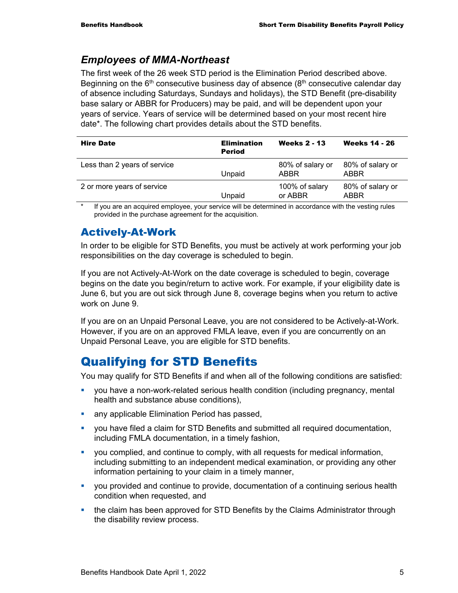### *Employees of MMA-Northeast*

The first week of the 26 week STD period is the Elimination Period described above. Beginning on the  $6<sup>th</sup>$  consecutive business day of absence ( $8<sup>th</sup>$  consecutive calendar day of absence including Saturdays, Sundays and holidays), the STD Benefit (pre-disability base salary or ABBR for Producers) may be paid, and will be dependent upon your years of service. Years of service will be determined based on your most recent hire date\*. The following chart provides details about the STD benefits.

| <b>Hire Date</b>             | <b>Elimination</b><br><b>Period</b> | <b>Weeks 2 - 13</b>       | <b>Weeks 14 - 26</b>     |
|------------------------------|-------------------------------------|---------------------------|--------------------------|
| Less than 2 years of service | Unpaid                              | 80% of salary or<br>ABBR  | 80% of salary or<br>ABBR |
| 2 or more years of service   | Unpaid                              | 100% of salary<br>or ABBR | 80% of salary or<br>ABBR |

If you are an acquired employee, your service will be determined in accordance with the vesting rules provided in the purchase agreement for the acquisition.

### Actively-At-Work

In order to be eligible for STD Benefits, you must be actively at work performing your job responsibilities on the day coverage is scheduled to begin.

If you are not Actively-At-Work on the date coverage is scheduled to begin, coverage begins on the date you begin/return to active work. For example, if your eligibility date is June 6, but you are out sick through June 8, coverage begins when you return to active work on June 9.

If you are on an Unpaid Personal Leave, you are not considered to be Actively-at-Work. However, if you are on an approved FMLA leave, even if you are concurrently on an Unpaid Personal Leave, you are eligible for STD benefits.

## Qualifying for STD Benefits

You may qualify for STD Benefits if and when all of the following conditions are satisfied:

- you have a non-work-related serious health condition (including pregnancy, mental health and substance abuse conditions),
- **any applicable Elimination Period has passed,**
- you have filed a claim for STD Benefits and submitted all required documentation, including FMLA documentation, in a timely fashion,
- you complied, and continue to comply, with all requests for medical information, including submitting to an independent medical examination, or providing any other information pertaining to your claim in a timely manner,
- you provided and continue to provide, documentation of a continuing serious health condition when requested, and
- the claim has been approved for STD Benefits by the Claims Administrator through the disability review process.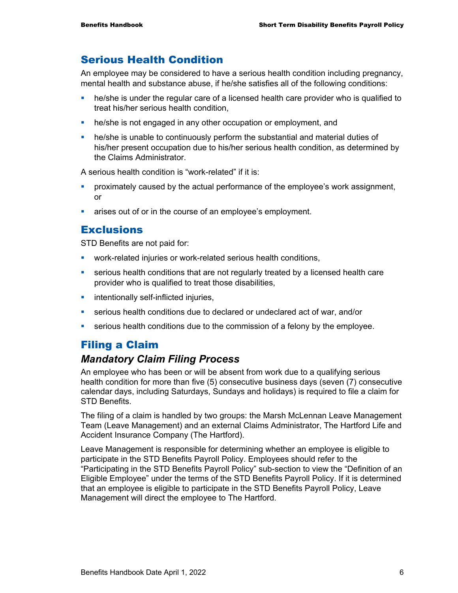### Serious Health Condition

An employee may be considered to have a serious health condition including pregnancy, mental health and substance abuse, if he/she satisfies all of the following conditions:

- **•** he/she is under the regular care of a licensed health care provider who is qualified to treat his/her serious health condition,
- **he/she is not engaged in any other occupation or employment, and**
- he/she is unable to continuously perform the substantial and material duties of his/her present occupation due to his/her serious health condition, as determined by the Claims Administrator.

A serious health condition is "work-related" if it is:

- proximately caused by the actual performance of the employee's work assignment, or
- **EXEC** arises out of or in the course of an employee's employment.

### **Exclusions**

STD Benefits are not paid for:

- work-related injuries or work-related serious health conditions,
- serious health conditions that are not regularly treated by a licensed health care provider who is qualified to treat those disabilities,
- $\blacksquare$  intentionally self-inflicted injuries,
- serious health conditions due to declared or undeclared act of war, and/or
- serious health conditions due to the commission of a felony by the employee.

### Filing a Claim

#### *Mandatory Claim Filing Process*

An employee who has been or will be absent from work due to a qualifying serious health condition for more than five (5) consecutive business days (seven (7) consecutive calendar days, including Saturdays, Sundays and holidays) is required to file a claim for STD Benefits.

The filing of a claim is handled by two groups: the Marsh McLennan Leave Management Team (Leave Management) and an external Claims Administrator, The Hartford Life and Accident Insurance Company (The Hartford).

Leave Management is responsible for determining whether an employee is eligible to participate in the STD Benefits Payroll Policy. Employees should refer to the "Participating in the STD Benefits Payroll Policy" sub-section to view the "Definition of an Eligible Employee" under the terms of the STD Benefits Payroll Policy. If it is determined that an employee is eligible to participate in the STD Benefits Payroll Policy, Leave Management will direct the employee to The Hartford.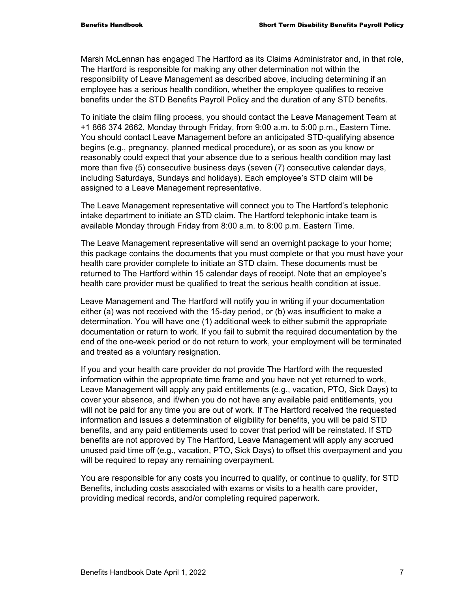Marsh McLennan has engaged The Hartford as its Claims Administrator and, in that role, The Hartford is responsible for making any other determination not within the responsibility of Leave Management as described above, including determining if an employee has a serious health condition, whether the employee qualifies to receive benefits under the STD Benefits Payroll Policy and the duration of any STD benefits.

To initiate the claim filing process, you should contact the Leave Management Team at +1 866 374 2662, Monday through Friday, from 9:00 a.m. to 5:00 p.m., Eastern Time. You should contact Leave Management before an anticipated STD-qualifying absence begins (e.g., pregnancy, planned medical procedure), or as soon as you know or reasonably could expect that your absence due to a serious health condition may last more than five (5) consecutive business days (seven (7) consecutive calendar days, including Saturdays, Sundays and holidays). Each employee's STD claim will be assigned to a Leave Management representative.

The Leave Management representative will connect you to The Hartford's telephonic intake department to initiate an STD claim. The Hartford telephonic intake team is available Monday through Friday from 8:00 a.m. to 8:00 p.m. Eastern Time.

The Leave Management representative will send an overnight package to your home; this package contains the documents that you must complete or that you must have your health care provider complete to initiate an STD claim. These documents must be returned to The Hartford within 15 calendar days of receipt. Note that an employee's health care provider must be qualified to treat the serious health condition at issue.

Leave Management and The Hartford will notify you in writing if your documentation either (a) was not received with the 15-day period, or (b) was insufficient to make a determination. You will have one (1) additional week to either submit the appropriate documentation or return to work. If you fail to submit the required documentation by the end of the one-week period or do not return to work, your employment will be terminated and treated as a voluntary resignation.

If you and your health care provider do not provide The Hartford with the requested information within the appropriate time frame and you have not yet returned to work, Leave Management will apply any paid entitlements (e.g., vacation, PTO, Sick Days) to cover your absence, and if/when you do not have any available paid entitlements, you will not be paid for any time you are out of work. If The Hartford received the requested information and issues a determination of eligibility for benefits, you will be paid STD benefits, and any paid entitlements used to cover that period will be reinstated. If STD benefits are not approved by The Hartford, Leave Management will apply any accrued unused paid time off (e.g., vacation, PTO, Sick Days) to offset this overpayment and you will be required to repay any remaining overpayment.

You are responsible for any costs you incurred to qualify, or continue to qualify, for STD Benefits, including costs associated with exams or visits to a health care provider, providing medical records, and/or completing required paperwork.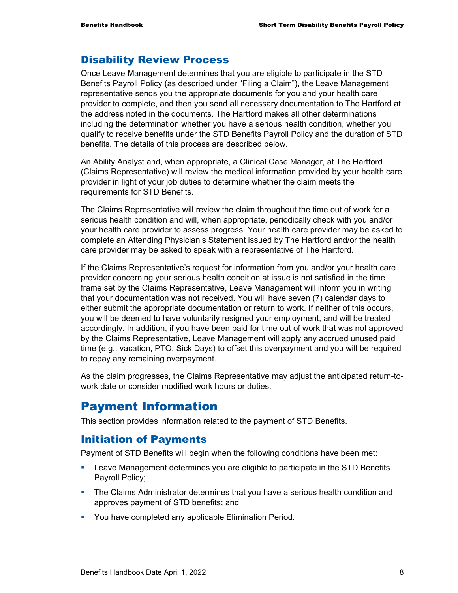### Disability Review Process

Once Leave Management determines that you are eligible to participate in the STD Benefits Payroll Policy (as described under "Filing a Claim"), the Leave Management representative sends you the appropriate documents for you and your health care provider to complete, and then you send all necessary documentation to The Hartford at the address noted in the documents. The Hartford makes all other determinations including the determination whether you have a serious health condition, whether you qualify to receive benefits under the STD Benefits Payroll Policy and the duration of STD benefits. The details of this process are described below.

An Ability Analyst and, when appropriate, a Clinical Case Manager, at The Hartford (Claims Representative) will review the medical information provided by your health care provider in light of your job duties to determine whether the claim meets the requirements for STD Benefits.

The Claims Representative will review the claim throughout the time out of work for a serious health condition and will, when appropriate, periodically check with you and/or your health care provider to assess progress. Your health care provider may be asked to complete an Attending Physician's Statement issued by The Hartford and/or the health care provider may be asked to speak with a representative of The Hartford.

If the Claims Representative's request for information from you and/or your health care provider concerning your serious health condition at issue is not satisfied in the time frame set by the Claims Representative, Leave Management will inform you in writing that your documentation was not received. You will have seven (7) calendar days to either submit the appropriate documentation or return to work. If neither of this occurs, you will be deemed to have voluntarily resigned your employment, and will be treated accordingly. In addition, if you have been paid for time out of work that was not approved by the Claims Representative, Leave Management will apply any accrued unused paid time (e.g., vacation, PTO, Sick Days) to offset this overpayment and you will be required to repay any remaining overpayment.

As the claim progresses, the Claims Representative may adjust the anticipated return-towork date or consider modified work hours or duties.

### Payment Information

This section provides information related to the payment of STD Benefits.

### Initiation of Payments

Payment of STD Benefits will begin when the following conditions have been met:

- Leave Management determines you are eligible to participate in the STD Benefits Payroll Policy;
- **The Claims Administrator determines that you have a serious health condition and** approves payment of STD benefits; and
- **You have completed any applicable Elimination Period.**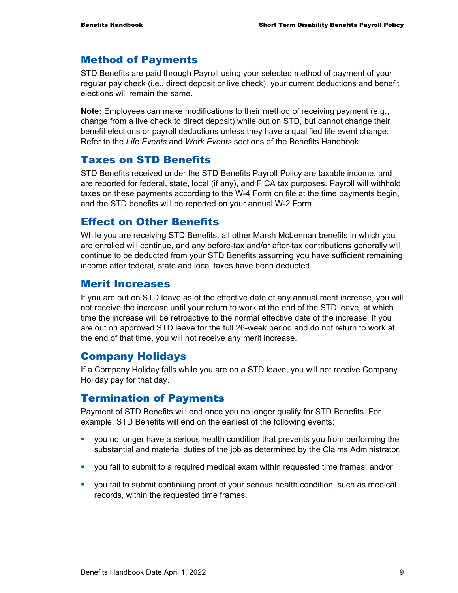#### Method of Payments

STD Benefits are paid through Payroll using your selected method of payment of your regular pay check (i.e., direct deposit or live check); your current deductions and benefit elections will remain the same.

**Note:** Employees can make modifications to their method of receiving payment (e.g., change from a live check to direct deposit) while out on STD, but cannot change their benefit elections or payroll deductions unless they have a qualified life event change. Refer to the *Life Events* and *Work Events* sections of the Benefits Handbook.

#### Taxes on STD Benefits

STD Benefits received under the STD Benefits Payroll Policy are taxable income, and are reported for federal, state, local (if any), and FICA tax purposes. Payroll will withhold taxes on these payments according to the W-4 Form on file at the time payments begin, and the STD benefits will be reported on your annual W-2 Form.

### Effect on Other Benefits

While you are receiving STD Benefits, all other Marsh McLennan benefits in which you are enrolled will continue, and any before-tax and/or after-tax contributions generally will continue to be deducted from your STD Benefits assuming you have sufficient remaining income after federal, state and local taxes have been deducted.

### Merit Increases

If you are out on STD leave as of the effective date of any annual merit increase, you will not receive the increase until your return to work at the end of the STD leave, at which time the increase will be retroactive to the normal effective date of the increase. If you are out on approved STD leave for the full 26-week period and do not return to work at the end of that time, you will not receive any merit increase.

### Company Holidays

If a Company Holiday falls while you are on a STD leave, you will not receive Company Holiday pay for that day.

### Termination of Payments

Payment of STD Benefits will end once you no longer qualify for STD Benefits. For example, STD Benefits will end on the earliest of the following events:

- you no longer have a serious health condition that prevents you from performing the substantial and material duties of the job as determined by the Claims Administrator,
- you fail to submit to a required medical exam within requested time frames, and/or
- you fail to submit continuing proof of your serious health condition, such as medical records, within the requested time frames.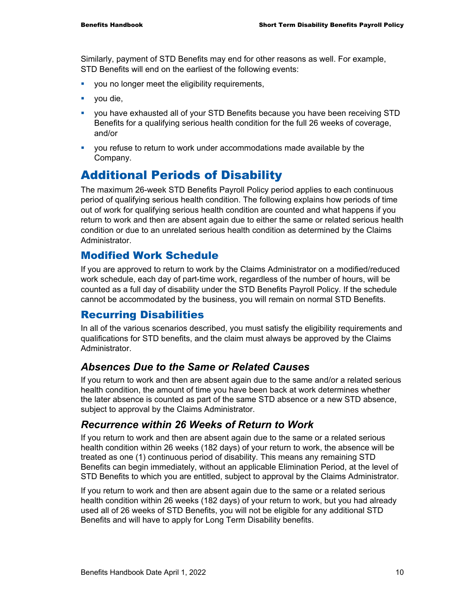Similarly, payment of STD Benefits may end for other reasons as well. For example, STD Benefits will end on the earliest of the following events:

- **vou no longer meet the eligibility requirements,**
- vou die,
- you have exhausted all of your STD Benefits because you have been receiving STD Benefits for a qualifying serious health condition for the full 26 weeks of coverage, and/or
- you refuse to return to work under accommodations made available by the Company.

### Additional Periods of Disability

The maximum 26-week STD Benefits Payroll Policy period applies to each continuous period of qualifying serious health condition. The following explains how periods of time out of work for qualifying serious health condition are counted and what happens if you return to work and then are absent again due to either the same or related serious health condition or due to an unrelated serious health condition as determined by the Claims Administrator.

### Modified Work Schedule

If you are approved to return to work by the Claims Administrator on a modified/reduced work schedule, each day of part-time work, regardless of the number of hours, will be counted as a full day of disability under the STD Benefits Payroll Policy. If the schedule cannot be accommodated by the business, you will remain on normal STD Benefits.

### Recurring Disabilities

In all of the various scenarios described, you must satisfy the eligibility requirements and qualifications for STD benefits, and the claim must always be approved by the Claims Administrator.

### *Absences Due to the Same or Related Causes*

If you return to work and then are absent again due to the same and/or a related serious health condition, the amount of time you have been back at work determines whether the later absence is counted as part of the same STD absence or a new STD absence, subject to approval by the Claims Administrator.

### *Recurrence within 26 Weeks of Return to Work*

If you return to work and then are absent again due to the same or a related serious health condition within 26 weeks (182 days) of your return to work, the absence will be treated as one (1) continuous period of disability. This means any remaining STD Benefits can begin immediately, without an applicable Elimination Period, at the level of STD Benefits to which you are entitled, subject to approval by the Claims Administrator.

If you return to work and then are absent again due to the same or a related serious health condition within 26 weeks (182 days) of your return to work, but you had already used all of 26 weeks of STD Benefits, you will not be eligible for any additional STD Benefits and will have to apply for Long Term Disability benefits.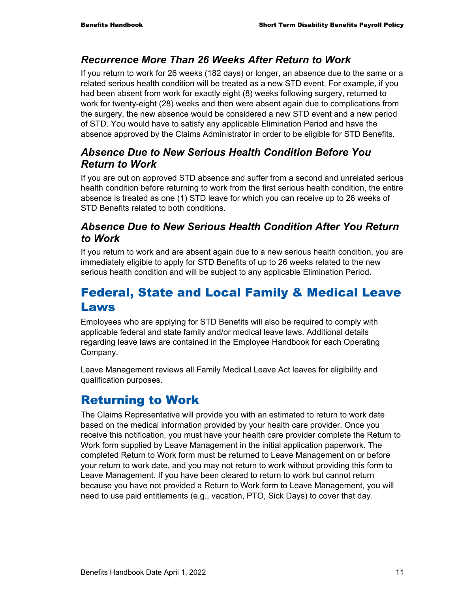### *Recurrence More Than 26 Weeks After Return to Work*

If you return to work for 26 weeks (182 days) or longer, an absence due to the same or a related serious health condition will be treated as a new STD event. For example, if you had been absent from work for exactly eight (8) weeks following surgery, returned to work for twenty-eight (28) weeks and then were absent again due to complications from the surgery, the new absence would be considered a new STD event and a new period of STD. You would have to satisfy any applicable Elimination Period and have the absence approved by the Claims Administrator in order to be eligible for STD Benefits.

### *Absence Due to New Serious Health Condition Before You Return to Work*

If you are out on approved STD absence and suffer from a second and unrelated serious health condition before returning to work from the first serious health condition, the entire absence is treated as one (1) STD leave for which you can receive up to 26 weeks of STD Benefits related to both conditions.

### *Absence Due to New Serious Health Condition After You Return to Work*

If you return to work and are absent again due to a new serious health condition, you are immediately eligible to apply for STD Benefits of up to 26 weeks related to the new serious health condition and will be subject to any applicable Elimination Period.

### Federal, State and Local Family & Medical Leave Laws

Employees who are applying for STD Benefits will also be required to comply with applicable federal and state family and/or medical leave laws. Additional details regarding leave laws are contained in the Employee Handbook for each Operating Company.

Leave Management reviews all Family Medical Leave Act leaves for eligibility and qualification purposes.

## Returning to Work

The Claims Representative will provide you with an estimated to return to work date based on the medical information provided by your health care provider. Once you receive this notification, you must have your health care provider complete the Return to Work form supplied by Leave Management in the initial application paperwork. The completed Return to Work form must be returned to Leave Management on or before your return to work date, and you may not return to work without providing this form to Leave Management. If you have been cleared to return to work but cannot return because you have not provided a Return to Work form to Leave Management, you will need to use paid entitlements (e.g., vacation, PTO, Sick Days) to cover that day.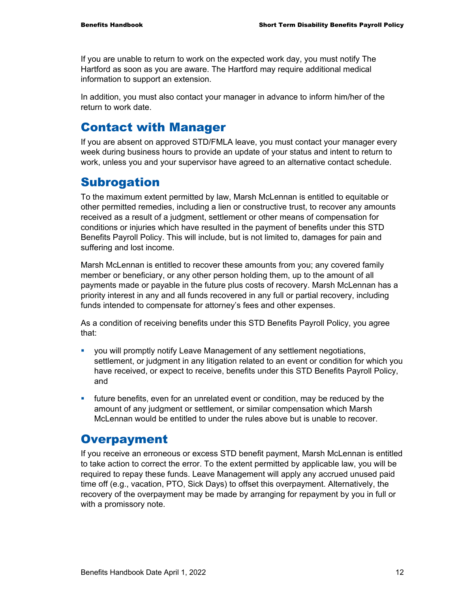If you are unable to return to work on the expected work day, you must notify The Hartford as soon as you are aware. The Hartford may require additional medical information to support an extension.

In addition, you must also contact your manager in advance to inform him/her of the return to work date.

### Contact with Manager

If you are absent on approved STD/FMLA leave, you must contact your manager every week during business hours to provide an update of your status and intent to return to work, unless you and your supervisor have agreed to an alternative contact schedule.

### **Subrogation**

To the maximum extent permitted by law, Marsh McLennan is entitled to equitable or other permitted remedies, including a lien or constructive trust, to recover any amounts received as a result of a judgment, settlement or other means of compensation for conditions or injuries which have resulted in the payment of benefits under this STD Benefits Payroll Policy. This will include, but is not limited to, damages for pain and suffering and lost income.

Marsh McLennan is entitled to recover these amounts from you; any covered family member or beneficiary, or any other person holding them, up to the amount of all payments made or payable in the future plus costs of recovery. Marsh McLennan has a priority interest in any and all funds recovered in any full or partial recovery, including funds intended to compensate for attorney's fees and other expenses.

As a condition of receiving benefits under this STD Benefits Payroll Policy, you agree that:

- you will promptly notify Leave Management of any settlement negotiations, settlement, or judgment in any litigation related to an event or condition for which you have received, or expect to receive, benefits under this STD Benefits Payroll Policy, and
- future benefits, even for an unrelated event or condition, may be reduced by the amount of any judgment or settlement, or similar compensation which Marsh McLennan would be entitled to under the rules above but is unable to recover.

### **Overpayment**

If you receive an erroneous or excess STD benefit payment, Marsh McLennan is entitled to take action to correct the error. To the extent permitted by applicable law, you will be required to repay these funds. Leave Management will apply any accrued unused paid time off (e.g., vacation, PTO, Sick Days) to offset this overpayment. Alternatively, the recovery of the overpayment may be made by arranging for repayment by you in full or with a promissory note.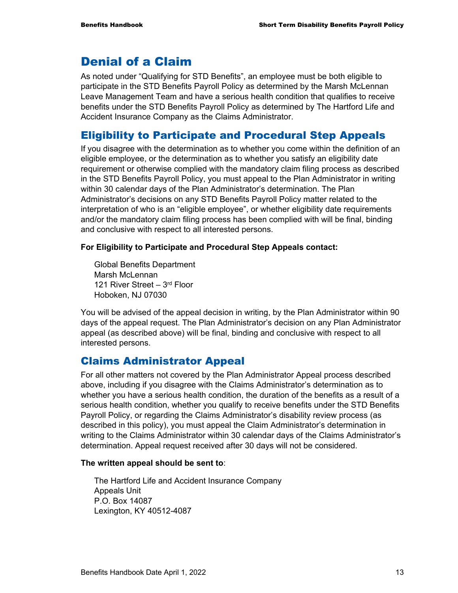### Denial of a Claim

As noted under "Qualifying for STD Benefits", an employee must be both eligible to participate in the STD Benefits Payroll Policy as determined by the Marsh McLennan Leave Management Team and have a serious health condition that qualifies to receive benefits under the STD Benefits Payroll Policy as determined by The Hartford Life and Accident Insurance Company as the Claims Administrator.

### Eligibility to Participate and Procedural Step Appeals

If you disagree with the determination as to whether you come within the definition of an eligible employee, or the determination as to whether you satisfy an eligibility date requirement or otherwise complied with the mandatory claim filing process as described in the STD Benefits Payroll Policy, you must appeal to the Plan Administrator in writing within 30 calendar days of the Plan Administrator's determination. The Plan Administrator's decisions on any STD Benefits Payroll Policy matter related to the interpretation of who is an "eligible employee", or whether eligibility date requirements and/or the mandatory claim filing process has been complied with will be final, binding and conclusive with respect to all interested persons.

#### **For Eligibility to Participate and Procedural Step Appeals contact:**

Global Benefits Department Marsh McLennan 121 River Street - 3rd Floor Hoboken, NJ 07030

You will be advised of the appeal decision in writing, by the Plan Administrator within 90 days of the appeal request. The Plan Administrator's decision on any Plan Administrator appeal (as described above) will be final, binding and conclusive with respect to all interested persons.

### Claims Administrator Appeal

For all other matters not covered by the Plan Administrator Appeal process described above, including if you disagree with the Claims Administrator's determination as to whether you have a serious health condition, the duration of the benefits as a result of a serious health condition, whether you qualify to receive benefits under the STD Benefits Payroll Policy, or regarding the Claims Administrator's disability review process (as described in this policy), you must appeal the Claim Administrator's determination in writing to the Claims Administrator within 30 calendar days of the Claims Administrator's determination. Appeal request received after 30 days will not be considered.

#### **The written appeal should be sent to**:

The Hartford Life and Accident Insurance Company Appeals Unit P.O. Box 14087 Lexington, KY 40512-4087